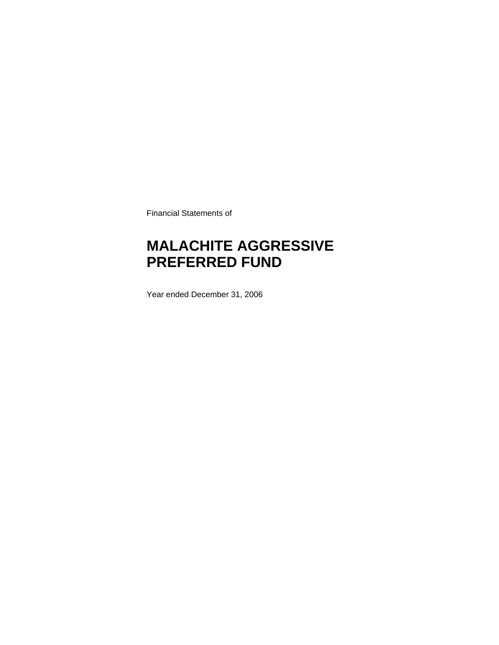Financial Statements of

### **MALACHITE AGGRESSIVE PREFERRED FUND**

Year ended December 31, 2006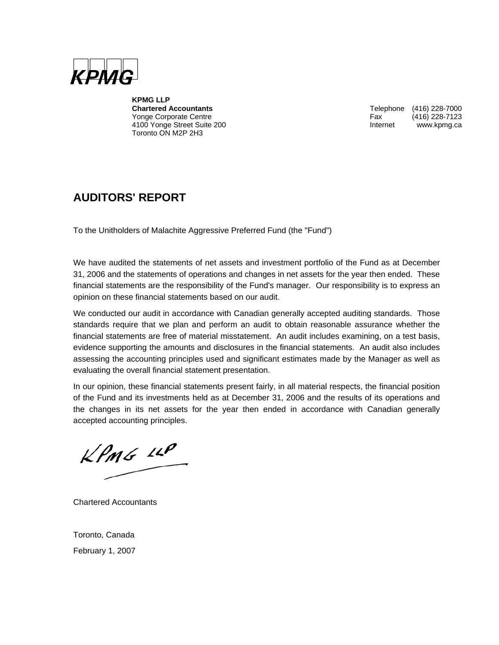

**KPMG LLP**  Yonge Corporate Centre 4100 Yonge Street Suite 200 **Internet WWW.kpmg.ca** Toronto ON M2P 2H3

Telephone (416) 228-7000<br>Fax (416) 228-7123

### **AUDITORS' REPORT**

To the Unitholders of Malachite Aggressive Preferred Fund (the "Fund")

We have audited the statements of net assets and investment portfolio of the Fund as at December 31, 2006 and the statements of operations and changes in net assets for the year then ended. These financial statements are the responsibility of the Fund's manager. Our responsibility is to express an opinion on these financial statements based on our audit.

We conducted our audit in accordance with Canadian generally accepted auditing standards. Those standards require that we plan and perform an audit to obtain reasonable assurance whether the financial statements are free of material misstatement. An audit includes examining, on a test basis, evidence supporting the amounts and disclosures in the financial statements. An audit also includes assessing the accounting principles used and significant estimates made by the Manager as well as evaluating the overall financial statement presentation.

In our opinion, these financial statements present fairly, in all material respects, the financial position of the Fund and its investments held as at December 31, 2006 and the results of its operations and the changes in its net assets for the year then ended in accordance with Canadian generally accepted accounting principles.

 $KPMS$  11P

Chartered Accountants

Toronto, Canada February 1, 2007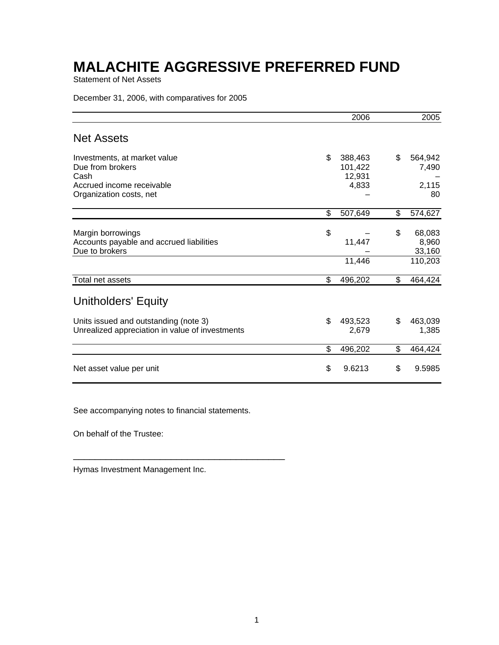Statement of Net Assets

December 31, 2006, with comparatives for 2005

|                                                                                          | 2006                               | 2005                            |
|------------------------------------------------------------------------------------------|------------------------------------|---------------------------------|
| <b>Net Assets</b>                                                                        |                                    |                                 |
| Investments, at market value<br>Due from brokers<br>Cash                                 | \$<br>388,463<br>101,422<br>12,931 | \$<br>564,942<br>7,490          |
| Accrued income receivable<br>Organization costs, net                                     | 4,833                              | 2,115<br>80                     |
|                                                                                          | \$<br>507,649                      | \$<br>574,627                   |
| Margin borrowings<br>Accounts payable and accrued liabilities<br>Due to brokers          | \$<br>11,447                       | \$<br>68,083<br>8,960<br>33,160 |
|                                                                                          | 11,446                             | 110,203                         |
| Total net assets                                                                         | \$<br>496,202                      | \$<br>464,424                   |
| <b>Unitholders' Equity</b>                                                               |                                    |                                 |
| Units issued and outstanding (note 3)<br>Unrealized appreciation in value of investments | \$<br>493,523<br>2,679             | \$<br>463,039<br>1,385          |
|                                                                                          | \$<br>496,202                      | \$<br>464,424                   |
| Net asset value per unit                                                                 | \$<br>9.6213                       | \$<br>9.5985                    |

See accompanying notes to financial statements.

\_\_\_\_\_\_\_\_\_\_\_\_\_\_\_\_\_\_\_\_\_\_\_\_\_\_\_\_\_\_\_\_\_\_\_\_\_\_\_

On behalf of the Trustee:

Hymas Investment Management Inc.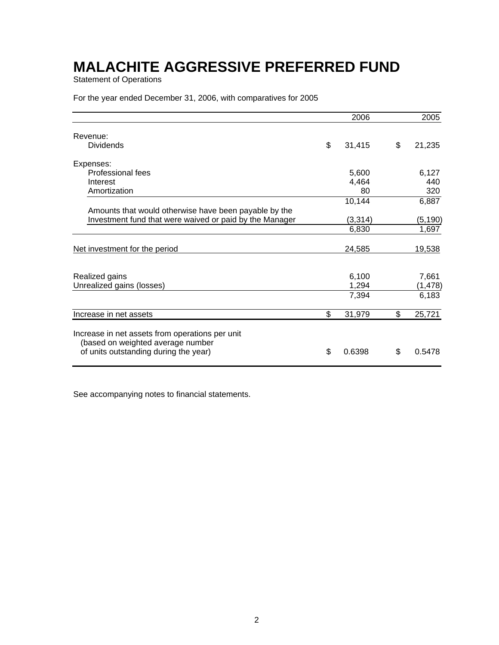Statement of Operations

For the year ended December 31, 2006, with comparatives for 2005

|                                                                                                                               | 2006         | 2005         |
|-------------------------------------------------------------------------------------------------------------------------------|--------------|--------------|
| Revenue:                                                                                                                      |              |              |
| <b>Dividends</b>                                                                                                              | \$<br>31,415 | \$<br>21,235 |
| Expenses:                                                                                                                     |              |              |
| Professional fees                                                                                                             | 5,600        | 6,127        |
| Interest                                                                                                                      | 4,464        | 440          |
| Amortization                                                                                                                  | 80           | 320          |
|                                                                                                                               | 10,144       | 6,887        |
| Amounts that would otherwise have been payable by the                                                                         |              |              |
| Investment fund that were waived or paid by the Manager                                                                       | (3,314)      | (5, 190)     |
|                                                                                                                               | 6,830        | 1,697        |
| Net investment for the period                                                                                                 | 24,585       | 19,538       |
|                                                                                                                               |              |              |
| Realized gains                                                                                                                | 6,100        | 7,661        |
| Unrealized gains (losses)                                                                                                     | 1,294        | (1, 478)     |
|                                                                                                                               | 7,394        | 6,183        |
| Increase in net assets                                                                                                        | \$<br>31,979 | \$<br>25,721 |
| Increase in net assets from operations per unit<br>(based on weighted average number<br>of units outstanding during the year) | \$<br>0.6398 | \$<br>0.5478 |

See accompanying notes to financial statements.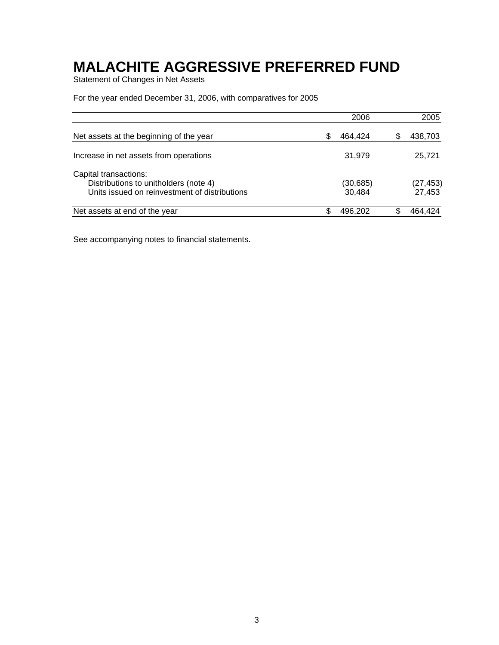Statement of Changes in Net Assets

For the year ended December 31, 2006, with comparatives for 2005

|                                                                                        |   | 2006                | 2005                |
|----------------------------------------------------------------------------------------|---|---------------------|---------------------|
| Net assets at the beginning of the year                                                | S | 464,424             | 438,703             |
| Increase in net assets from operations                                                 |   | 31.979              | 25.721              |
| Capital transactions:                                                                  |   |                     |                     |
| Distributions to unitholders (note 4)<br>Units issued on reinvestment of distributions |   | (30, 685)<br>30.484 | (27, 453)<br>27,453 |
| Net assets at end of the year                                                          |   | 496.202             | 464.424             |

See accompanying notes to financial statements.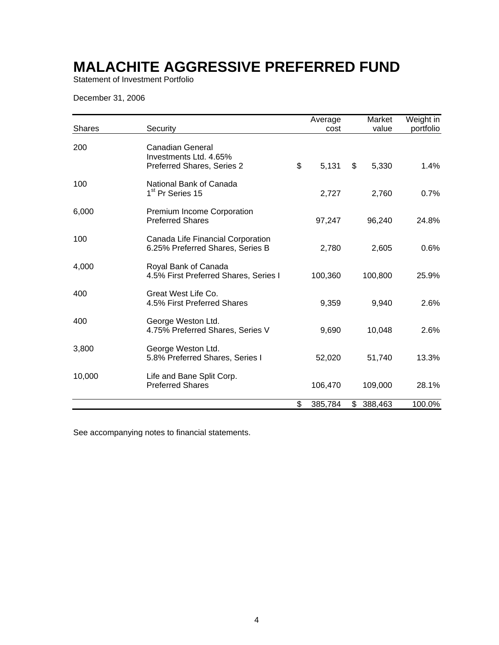Statement of Investment Portfolio

December 31, 2006

| <b>Shares</b> | Security                                                                 | Average<br>cost | Market<br>value | Weight in<br>portfolio |
|---------------|--------------------------------------------------------------------------|-----------------|-----------------|------------------------|
| 200           | Canadian General<br>Investments Ltd. 4.65%<br>Preferred Shares, Series 2 | \$<br>5,131     | \$<br>5,330     | 1.4%                   |
| 100           | National Bank of Canada<br>1 <sup>st</sup> Pr Series 15                  | 2,727           | 2,760           | 0.7%                   |
| 6,000         | Premium Income Corporation<br><b>Preferred Shares</b>                    | 97,247          | 96,240          | 24.8%                  |
| 100           | Canada Life Financial Corporation<br>6.25% Preferred Shares, Series B    | 2,780           | 2,605           | 0.6%                   |
| 4,000         | Royal Bank of Canada<br>4.5% First Preferred Shares, Series I            | 100,360         | 100,800         | 25.9%                  |
| 400           | Great West Life Co.<br>4.5% First Preferred Shares                       | 9,359           | 9,940           | 2.6%                   |
| 400           | George Weston Ltd.<br>4.75% Preferred Shares, Series V                   | 9,690           | 10,048          | 2.6%                   |
| 3,800         | George Weston Ltd.<br>5.8% Preferred Shares, Series I                    | 52,020          | 51,740          | 13.3%                  |
| 10,000        | Life and Bane Split Corp.<br><b>Preferred Shares</b>                     | 106,470         | 109,000         | 28.1%                  |
|               |                                                                          | \$<br>385,784   | \$<br>388,463   | 100.0%                 |

See accompanying notes to financial statements.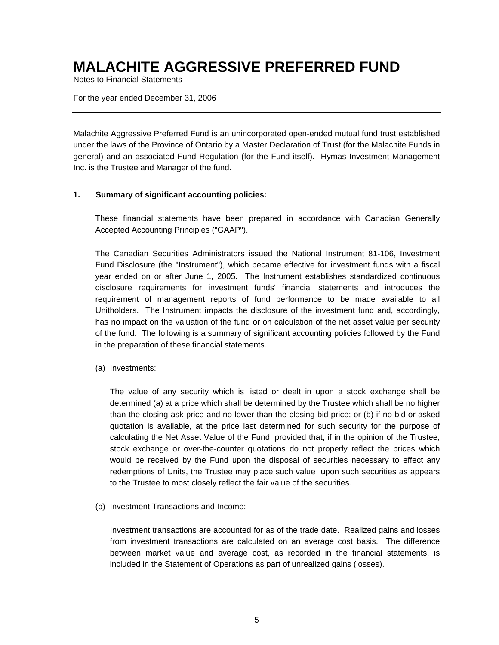Notes to Financial Statements

For the year ended December 31, 2006

Malachite Aggressive Preferred Fund is an unincorporated open-ended mutual fund trust established under the laws of the Province of Ontario by a Master Declaration of Trust (for the Malachite Funds in general) and an associated Fund Regulation (for the Fund itself). Hymas Investment Management Inc. is the Trustee and Manager of the fund.

#### **1. Summary of significant accounting policies:**

These financial statements have been prepared in accordance with Canadian Generally Accepted Accounting Principles ("GAAP").

The Canadian Securities Administrators issued the National Instrument 81-106, Investment Fund Disclosure (the "Instrument"), which became effective for investment funds with a fiscal year ended on or after June 1, 2005. The Instrument establishes standardized continuous disclosure requirements for investment funds' financial statements and introduces the requirement of management reports of fund performance to be made available to all Unitholders. The Instrument impacts the disclosure of the investment fund and, accordingly, has no impact on the valuation of the fund or on calculation of the net asset value per security of the fund. The following is a summary of significant accounting policies followed by the Fund in the preparation of these financial statements.

(a) Investments:

The value of any security which is listed or dealt in upon a stock exchange shall be determined (a) at a price which shall be determined by the Trustee which shall be no higher than the closing ask price and no lower than the closing bid price; or (b) if no bid or asked quotation is available, at the price last determined for such security for the purpose of calculating the Net Asset Value of the Fund, provided that, if in the opinion of the Trustee, stock exchange or over-the-counter quotations do not properly reflect the prices which would be received by the Fund upon the disposal of securities necessary to effect any redemptions of Units, the Trustee may place such value upon such securities as appears to the Trustee to most closely reflect the fair value of the securities.

(b) Investment Transactions and Income:

Investment transactions are accounted for as of the trade date. Realized gains and losses from investment transactions are calculated on an average cost basis. The difference between market value and average cost, as recorded in the financial statements, is included in the Statement of Operations as part of unrealized gains (losses).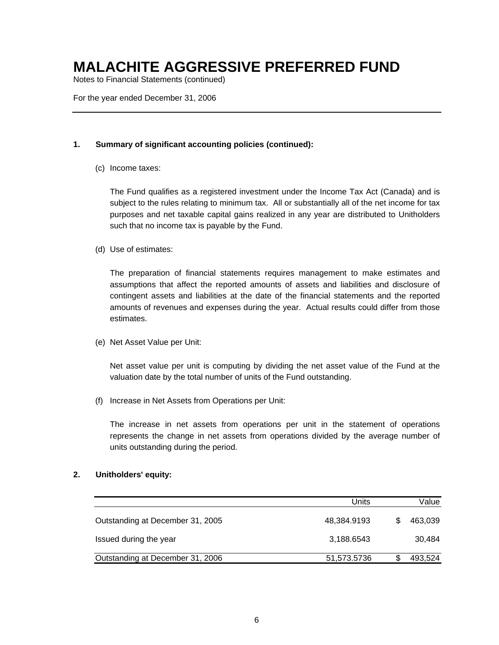Notes to Financial Statements (continued)

For the year ended December 31, 2006

#### **1. Summary of significant accounting policies (continued):**

(c) Income taxes:

The Fund qualifies as a registered investment under the Income Tax Act (Canada) and is subject to the rules relating to minimum tax. All or substantially all of the net income for tax purposes and net taxable capital gains realized in any year are distributed to Unitholders such that no income tax is payable by the Fund.

(d) Use of estimates:

The preparation of financial statements requires management to make estimates and assumptions that affect the reported amounts of assets and liabilities and disclosure of contingent assets and liabilities at the date of the financial statements and the reported amounts of revenues and expenses during the year. Actual results could differ from those estimates.

(e) Net Asset Value per Unit:

Net asset value per unit is computing by dividing the net asset value of the Fund at the valuation date by the total number of units of the Fund outstanding.

(f) Increase in Net Assets from Operations per Unit:

The increase in net assets from operations per unit in the statement of operations represents the change in net assets from operations divided by the average number of units outstanding during the period.

#### **2. Unitholders' equity:**

|                                  | Units       | Value   |
|----------------------------------|-------------|---------|
| Outstanding at December 31, 2005 | 48,384.9193 | 463,039 |
| Issued during the year           | 3,188.6543  | 30,484  |
| Outstanding at December 31, 2006 | 51,573.5736 | 493,524 |